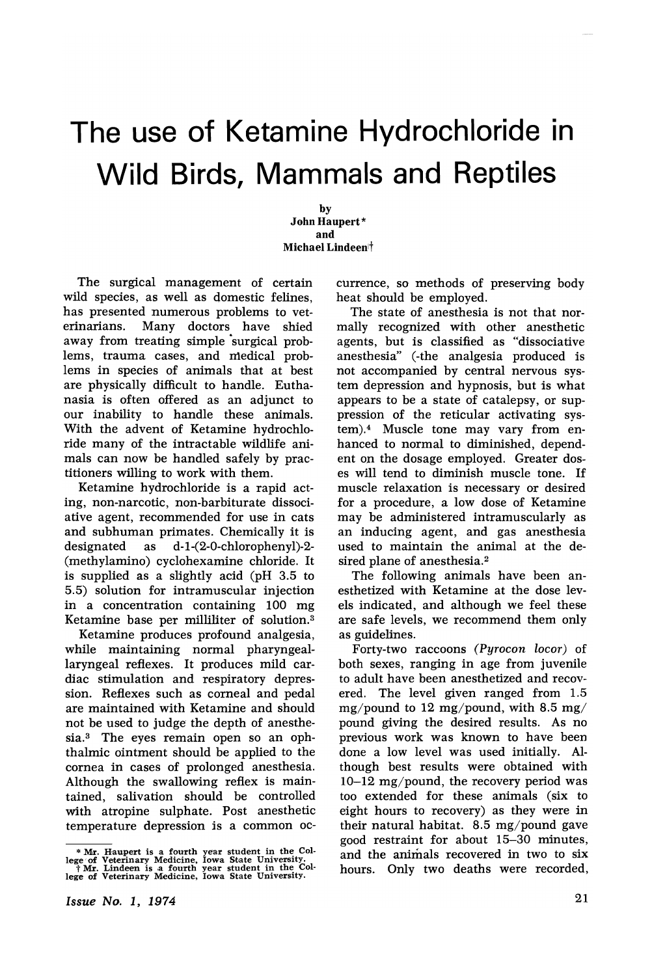# The use of Ketamine Hydrochloride in Wild Birds, Mammals and Reptiles

by John Haupert\* and Michael Lindeen<sup>†</sup>

The surgical management of certain wild species, as well as domestic felines, has presented numerous problems to veterinarians. Many doctors have shied away from treating simple surgical problems, trauma cases, and medical prob-· lems in species of animals that at best are physically difficult to handle. Euthanasia is often offered as an adjunct to our inability to handle these animals. With the advent of Ketamine hydrochloride many of the intractable wildlife animals can now be handled safely by practitioners willing to work with them.

Ketamine hydrochloride is a rapid acting, non-narcotic, non-barbiturate dissociative agent, recommended for use in cats and subhuman primates. Chemically it is designated as d-1-(2-0-chlorophenyl)-2- (methylamino) cyclohexamine chloride. It is supplied as a slightly acid (pH 3.5 to 5.5) solution for intramuscular injection in a concentration containing 100 mg Ketamine base per milliliter of solution.3

Ketamine produces profound analgesia, while maintaining normal pharyngeallaryngeal reflexes. It produces mild cardiac stimulation and respiratory depression. Reflexes such as corneal and pedal are maintained with Ketamine and should not be used to judge the depth of anesthesia.<sup>3</sup> The eyes remain open so an ophthalmic ointment should be applied to the cornea in cases of prolonged anesthesia. Although the swallowing reflex is maintained, salivation should be controlled with atropine sulphate. Post anesthetic temperature depression is a common oc-

\* Mr. Haupert is a fourth year student in the College of Veterinary Medicine, Iowa State University.<br>f Mr. Lindeen is a fourth year student in the Col-<br>lege of Veterinary Medicine, Iowa State University.

Issue No.1, 1974

currence, so methods of preserving body heat should be employed.

The state of anesthesia is not that normally recognized with other anesthetic agents, but is classified as "dissociative anesthesia" (-the analgesia produced is not accompanied by central nervous system depression and hypnosis, but is what appears to be a state of catalepsy, or suppression of the reticular activating system).4 Muscle tone may vary from enhanced to normal to diminished, dependent on the dosage employed. Greater doses will tend to diminish muscle tone. If muscle relaxation is necessary or desired for a procedure, a low dose of Ketamine may be administered intramuscularly as an inducing agent, and gas anesthesia used to maintain the animal at the desired plane of anesthesia.<sup>2</sup>

The following animals have been anesthetized with Ketamine at the dose levels indicated, and although we feel these are safe levels, we recommend them only as guidelines.

Forty-two raccoons *(Pyrocon locor)* of both sexes, ranging in age from juvenile to adult have been anesthetized and recovered. The level given ranged from 1.5 mg/pound to 12 mg/pound, with 8.5 mg/ pound giving the desired results. As no previous work was known to have been done a low level was used initially. Although best results were obtained. with 10-12 mg/pound, the recovery period was too extended for these animals (six to eight hours to recovery) as they were in their natural habitat. 8.5 mg/pound gave good restraint for about 15-30 minutes, and the animals recovered in two to six hours. Only two deaths were recorded,